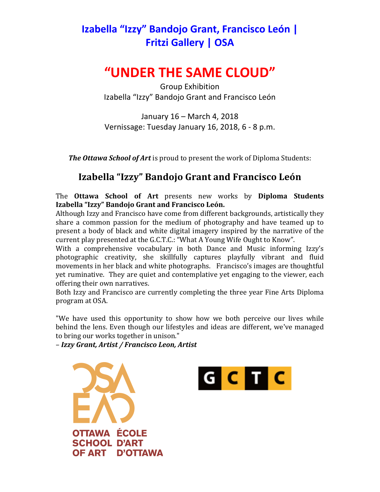# **"UNDER THE SAME CLOUD"**

Group Exhibition Izabella "Izzy" Bandojo Grant and Francisco León

January 16 – March 4, 2018 Vernissage: Tuesday January 16, 2018, 6 - 8 p.m.

*The Ottawa School of Art* is proud to present the work of Diploma Students:

### **Izabella "Izzy" Bandojo Grant and Francisco León**

The **Ottawa School of Art** presents new works by **Diploma Students Izabella "Izzy" Bandojo Grant and Francisco León.** 

Although Izzy and Francisco have come from different backgrounds, artistically they share a common passion for the medium of photography and have teamed up to present a body of black and white digital imagery inspired by the narrative of the current play presented at the G.C.T.C.: "What A Young Wife Ought to Know".

With a comprehensive vocabulary in both Dance and Music informing Izzy's photographic creativity, she skillfully captures playfully vibrant and fluid movements in her black and white photographs. Francisco's images are thoughtful yet ruminative. They are quiet and contemplative yet engaging to the viewer, each offering their own narratives.

Both Izzy and Francisco are currently completing the three year Fine Arts Diploma program at OSA.

"We have used this opportunity to show how we both perceive our lives while behind the lens. Even though our lifestyles and ideas are different, we've managed to bring our works together in unison."

– *Izzy Grant, Artist / Francisco Leon, Artist*



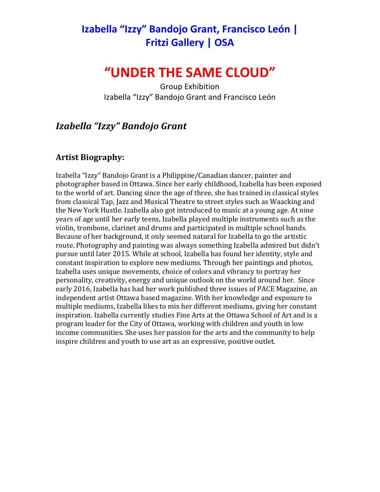# **"UNDER THE SAME CLOUD"**

**Group Exhibition** Izabella "Izzy" Bandojo Grant and Francisco León

#### *Izabella "Izzy" Bandojo Grant*

#### **Artist Biography:**

Izabella "Izzy" Bandojo Grant is a Philippine/Canadian dancer, painter and photographer based in Ottawa. Since her early childhood, Izabella has been exposed to the world of art. Dancing since the age of three, she has trained in classical styles from classical Tap, Jazz and Musical Theatre to street styles such as Waacking and the New York Hustle. Izabella also got introduced to music at a young age. At nine years of age until her early teens, Izabella played multiple instruments such as the violin, trombone, clarinet and drums and participated in multiple school bands. Because of her background, it only seemed natural for Izabella to go the artistic route. Photography and painting was always something Izabella admired but didn't pursue until later 2015. While at school, Izabella has found her identity, style and constant inspiration to explore new mediums. Through her paintings and photos, Izabella uses unique movements, choice of colors and vibrancy to portray her personality, creativity, energy and unique outlook on the world around her. Since early 2016, Izabella has had her work published three issues of PACE Magazine, an independent artist Ottawa based magazine. With her knowledge and exposure to multiple mediums, Izabella likes to mix her different mediums, giving her constant inspiration. Izabella currently studies Fine Arts at the Ottawa School of Art and is a program leader for the City of Ottawa, working with children and youth in low income communities. She uses her passion for the arts and the community to help inspire children and youth to use art as an expressive, positive outlet.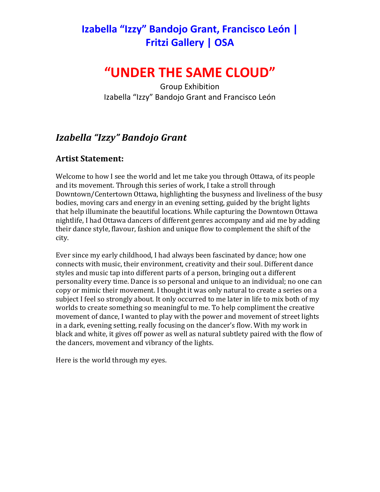# **"UNDER THE SAME CLOUD"**

**Group Exhibition** Izabella "Izzy" Bandojo Grant and Francisco León

### *Izabella "Izzy" Bandojo Grant*

#### **Artist Statement:**

Welcome to how I see the world and let me take you through Ottawa, of its people and its movement. Through this series of work, I take a stroll through Downtown/Centertown Ottawa, highlighting the busyness and liveliness of the busy bodies, moving cars and energy in an evening setting, guided by the bright lights that help illuminate the beautiful locations. While capturing the Downtown Ottawa nightlife, I had Ottawa dancers of different genres accompany and aid me by adding their dance style, flavour, fashion and unique flow to complement the shift of the city. 

Ever since my early childhood, I had always been fascinated by dance; how one connects with music, their environment, creativity and their soul. Different dance styles and music tap into different parts of a person, bringing out a different personality every time. Dance is so personal and unique to an individual; no one can copy or mimic their movement. I thought it was only natural to create a series on a subject I feel so strongly about. It only occurred to me later in life to mix both of my worlds to create something so meaningful to me. To help compliment the creative movement of dance, I wanted to play with the power and movement of street lights in a dark, evening setting, really focusing on the dancer's flow. With my work in black and white, it gives off power as well as natural subtlety paired with the flow of the dancers, movement and vibrancy of the lights.

Here is the world through my eyes.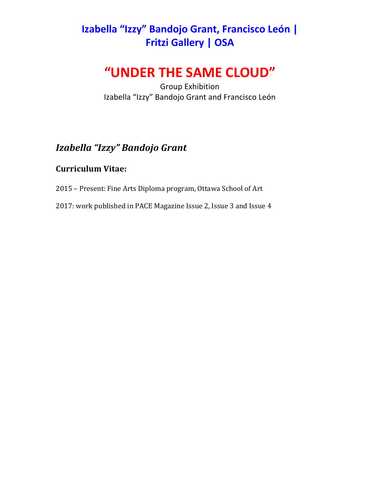# **"UNDER THE SAME CLOUD"**

**Group Exhibition** Izabella "Izzy" Bandojo Grant and Francisco León

### *Izabella "Izzy" Bandojo Grant*

#### **Curriculum Vitae:**

- 2015 Present: Fine Arts Diploma program, Ottawa School of Art
- 2017: work published in PACE Magazine Issue 2, Issue 3 and Issue 4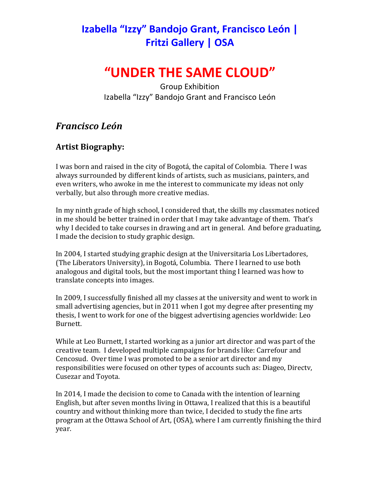# **"UNDER THE SAME CLOUD"**

**Group Exhibition** Izabella "Izzy" Bandojo Grant and Francisco León

### *Francisco León*

#### **Artist Biography:**

I was born and raised in the city of Bogotá, the capital of Colombia. There I was always surrounded by different kinds of artists, such as musicians, painters, and even writers, who awoke in me the interest to communicate my ideas not only verbally, but also through more creative medias.

In my ninth grade of high school, I considered that, the skills my classmates noticed in me should be better trained in order that I may take advantage of them. That's why I decided to take courses in drawing and art in general. And before graduating, I made the decision to study graphic design.

In 2004, I started studying graphic design at the Universitaria Los Libertadores, (The Liberators University), in Bogotá, Columbia. There I learned to use both analogous and digital tools, but the most important thing I learned was how to translate concepts into images.

In 2009, I successfully finished all my classes at the university and went to work in small advertising agencies, but in 2011 when I got my degree after presenting my thesis, I went to work for one of the biggest advertising agencies worldwide: Leo Burnett. 

While at Leo Burnett, I started working as a junior art director and was part of the creative team. I developed multiple campaigns for brands like: Carrefour and Cencosud. Over time I was promoted to be a senior art director and my responsibilities were focused on other types of accounts such as: Diageo, Directv, Cusezar and Toyota.

In 2014, I made the decision to come to Canada with the intention of learning English, but after seven months living in Ottawa, I realized that this is a beautiful country and without thinking more than twice. I decided to study the fine arts program at the Ottawa School of Art, (OSA), where I am currently finishing the third year.